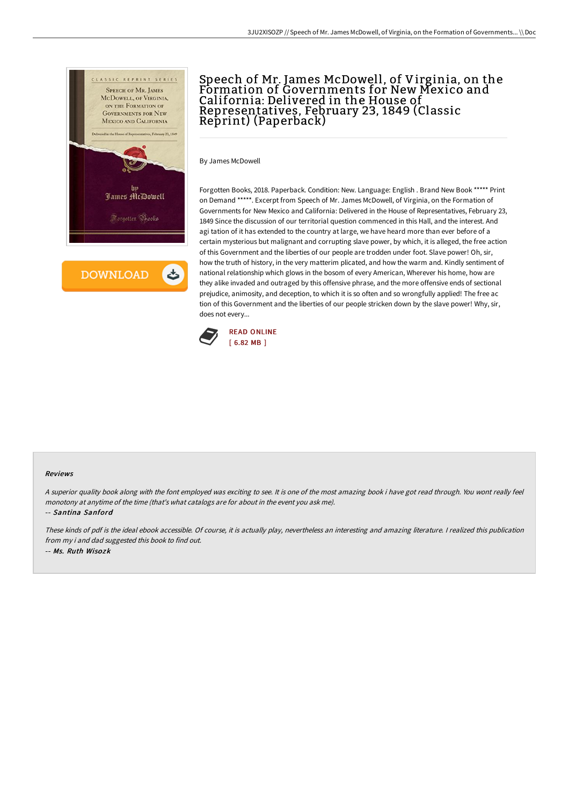

**DOWNLOAD** 

## Speech of Mr. James McDowell, of Virginia, on the Formation of Governments for New Mexico and California: Delivered in the House of Representatives, February 23, 1849 (Classic Reprint) (Paperback)

By James McDowell

Forgotten Books, 2018. Paperback. Condition: New. Language: English . Brand New Book \*\*\*\*\* Print on Demand \*\*\*\*\*. Excerpt from Speech of Mr. James McDowell, of Virginia, on the Formation of Governments for New Mexico and California: Delivered in the House of Representatives, February 23, 1849 Since the discussion of our territorial question commenced in this Hall, and the interest. And agi tation of it has extended to the country at large, we have heard more than ever before of a certain mysterious but malignant and corrupting slave power, by which, it is alleged, the free action of this Government and the liberties of our people are trodden under foot. Slave power! Oh, sir, how the truth of history, in the very matterim plicated, and how the warm and. Kindly sentiment of national relationship which glows in the bosom of every American, Wherever his home, how are they alike invaded and outraged by this offensive phrase, and the more offensive ends of sectional prejudice, animosity, and deception, to which it is so often and so wrongfully applied! The free ac tion of this Government and the liberties of our people stricken down by the slave power! Why, sir, does not every...



## Reviews

<sup>A</sup> superior quality book along with the font employed was exciting to see. It is one of the most amazing book i have got read through. You wont really feel monotony at anytime of the time (that's what catalogs are for about in the event you ask me).

-- Santina Sanford

These kinds of pdf is the ideal ebook accessible. Of course, it is actually play, nevertheless an interesting and amazing literature. <sup>I</sup> realized this publication from my i and dad suggested this book to find out. -- Ms. Ruth Wisozk